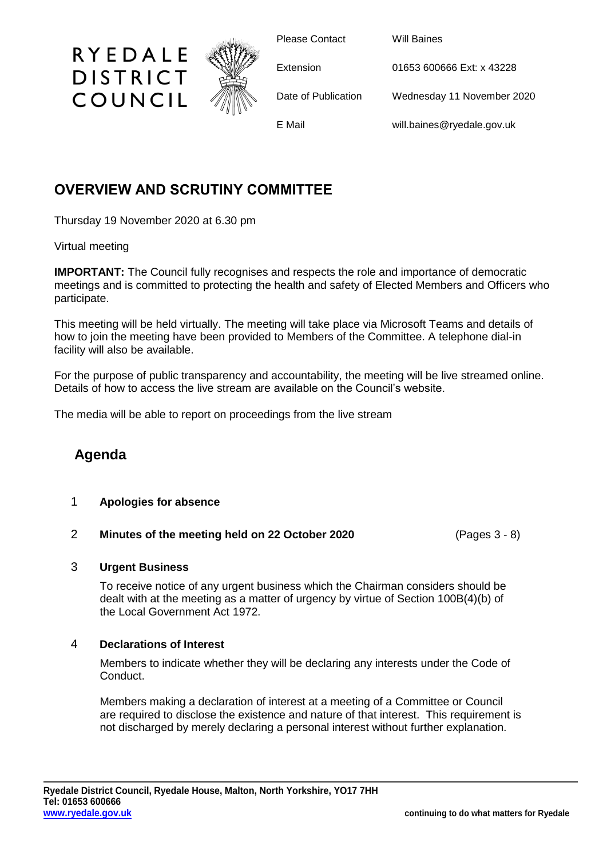

Please Contact Will Baines

Extension 01653 600666 Ext: x 43228

Date of Publication Wednesday 11 November 2020

E Mail will.baines@ryedale.gov.uk

## **OVERVIEW AND SCRUTINY COMMITTEE**

Thursday 19 November 2020 at 6.30 pm

RYEDALE

**DISTRICT** 

COUNCIL

Virtual meeting

**IMPORTANT:** The Council fully recognises and respects the role and importance of democratic meetings and is committed to protecting the health and safety of Elected Members and Officers who participate.

This meeting will be held virtually. The meeting will take place via Microsoft Teams and details of how to join the meeting have been provided to Members of the Committee. A telephone dial-in facility will also be available.

For the purpose of public transparency and accountability, the meeting will be live streamed online. Details of how to access the live stream are available on the Council's website.

The media will be able to report on proceedings from the live stream

# **Agenda**

### 1 **Apologies for absence**

### 2 **Minutes of the meeting held on 22 October 2020** (Pages 3 - 8)

### 3 **Urgent Business**

To receive notice of any urgent business which the Chairman considers should be dealt with at the meeting as a matter of urgency by virtue of Section 100B(4)(b) of the Local Government Act 1972.

### 4 **Declarations of Interest**

Members to indicate whether they will be declaring any interests under the Code of Conduct.

Members making a declaration of interest at a meeting of a Committee or Council are required to disclose the existence and nature of that interest. This requirement is not discharged by merely declaring a personal interest without further explanation.